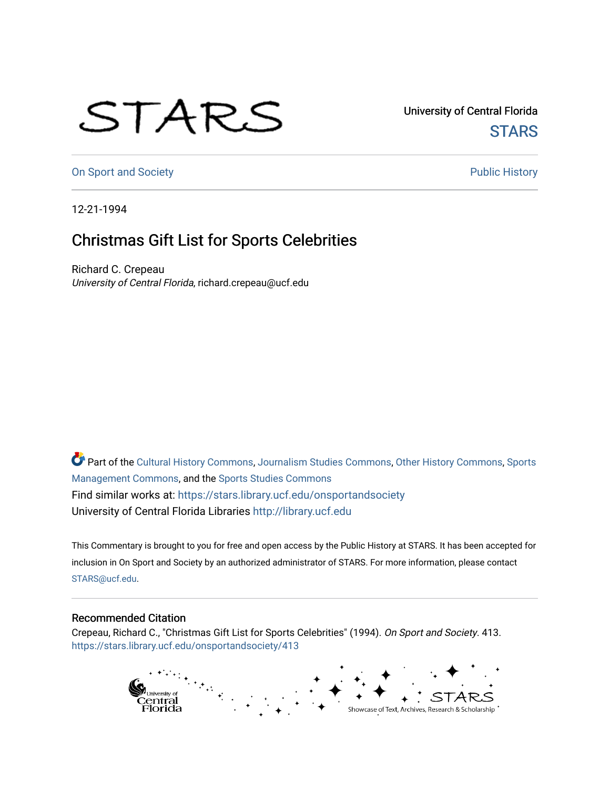## STARS

University of Central Florida **STARS** 

[On Sport and Society](https://stars.library.ucf.edu/onsportandsociety) **Public History** Public History

12-21-1994

## Christmas Gift List for Sports Celebrities

Richard C. Crepeau University of Central Florida, richard.crepeau@ucf.edu

Part of the [Cultural History Commons](http://network.bepress.com/hgg/discipline/496?utm_source=stars.library.ucf.edu%2Fonsportandsociety%2F413&utm_medium=PDF&utm_campaign=PDFCoverPages), [Journalism Studies Commons,](http://network.bepress.com/hgg/discipline/333?utm_source=stars.library.ucf.edu%2Fonsportandsociety%2F413&utm_medium=PDF&utm_campaign=PDFCoverPages) [Other History Commons,](http://network.bepress.com/hgg/discipline/508?utm_source=stars.library.ucf.edu%2Fonsportandsociety%2F413&utm_medium=PDF&utm_campaign=PDFCoverPages) [Sports](http://network.bepress.com/hgg/discipline/1193?utm_source=stars.library.ucf.edu%2Fonsportandsociety%2F413&utm_medium=PDF&utm_campaign=PDFCoverPages) [Management Commons](http://network.bepress.com/hgg/discipline/1193?utm_source=stars.library.ucf.edu%2Fonsportandsociety%2F413&utm_medium=PDF&utm_campaign=PDFCoverPages), and the [Sports Studies Commons](http://network.bepress.com/hgg/discipline/1198?utm_source=stars.library.ucf.edu%2Fonsportandsociety%2F413&utm_medium=PDF&utm_campaign=PDFCoverPages) Find similar works at: <https://stars.library.ucf.edu/onsportandsociety> University of Central Florida Libraries [http://library.ucf.edu](http://library.ucf.edu/) 

This Commentary is brought to you for free and open access by the Public History at STARS. It has been accepted for inclusion in On Sport and Society by an authorized administrator of STARS. For more information, please contact [STARS@ucf.edu](mailto:STARS@ucf.edu).

## Recommended Citation

Crepeau, Richard C., "Christmas Gift List for Sports Celebrities" (1994). On Sport and Society. 413. [https://stars.library.ucf.edu/onsportandsociety/413](https://stars.library.ucf.edu/onsportandsociety/413?utm_source=stars.library.ucf.edu%2Fonsportandsociety%2F413&utm_medium=PDF&utm_campaign=PDFCoverPages)

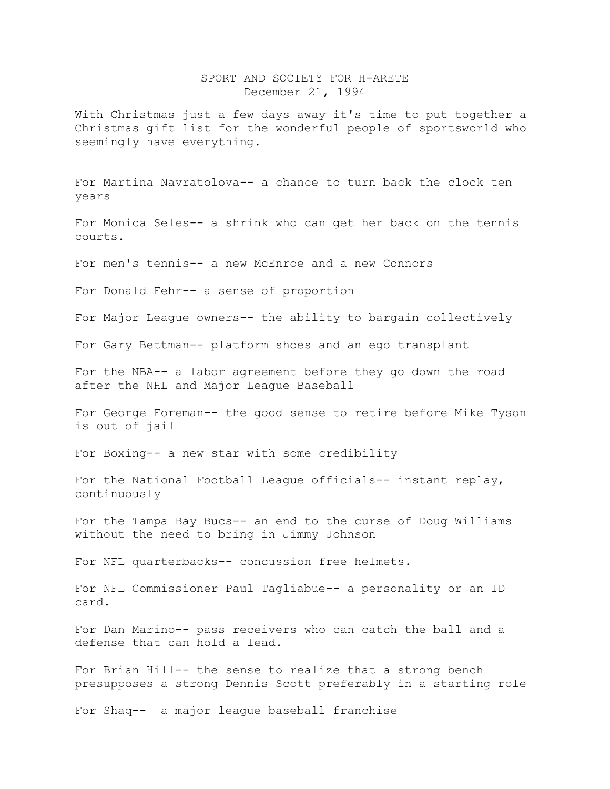## SPORT AND SOCIETY FOR H-ARETE December 21, 1994

With Christmas just a few days away it's time to put together a Christmas gift list for the wonderful people of sportsworld who seemingly have everything.

For Martina Navratolova-- a chance to turn back the clock ten years

For Monica Seles-- a shrink who can get her back on the tennis courts.

For men's tennis-- a new McEnroe and a new Connors

For Donald Fehr-- a sense of proportion

For Major League owners-- the ability to bargain collectively

For Gary Bettman-- platform shoes and an ego transplant

For the NBA-- a labor agreement before they go down the road after the NHL and Major League Baseball

For George Foreman-- the good sense to retire before Mike Tyson is out of jail

For Boxing-- a new star with some credibility

For the National Football League officials-- instant replay, continuously

For the Tampa Bay Bucs-- an end to the curse of Doug Williams without the need to bring in Jimmy Johnson

For NFL quarterbacks-- concussion free helmets.

For NFL Commissioner Paul Tagliabue-- a personality or an ID card.

For Dan Marino-- pass receivers who can catch the ball and a defense that can hold a lead.

For Brian Hill-- the sense to realize that a strong bench presupposes a strong Dennis Scott preferably in a starting role

For Shaq-- a major league baseball franchise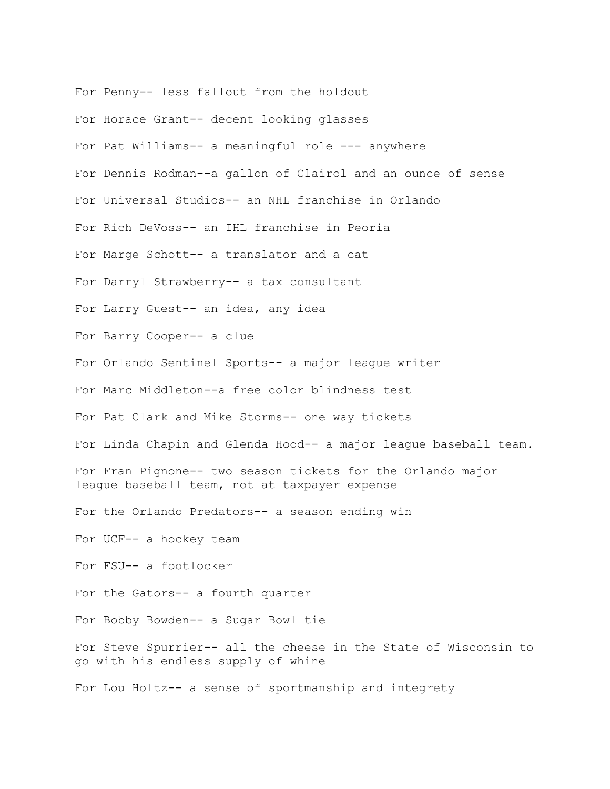For Penny-- less fallout from the holdout For Horace Grant-- decent looking glasses For Pat Williams-- a meaningful role --- anywhere For Dennis Rodman--a gallon of Clairol and an ounce of sense For Universal Studios-- an NHL franchise in Orlando For Rich DeVoss-- an IHL franchise in Peoria For Marge Schott-- a translator and a cat For Darryl Strawberry-- a tax consultant For Larry Guest-- an idea, any idea For Barry Cooper-- a clue For Orlando Sentinel Sports-- a major league writer For Marc Middleton--a free color blindness test For Pat Clark and Mike Storms-- one way tickets For Linda Chapin and Glenda Hood-- a major league baseball team. For Fran Pignone-- two season tickets for the Orlando major league baseball team, not at taxpayer expense For the Orlando Predators-- a season ending win For UCF-- a hockey team For FSU-- a footlocker For the Gators-- a fourth quarter For Bobby Bowden-- a Sugar Bowl tie For Steve Spurrier-- all the cheese in the State of Wisconsin to go with his endless supply of whine For Lou Holtz-- a sense of sportmanship and integrety